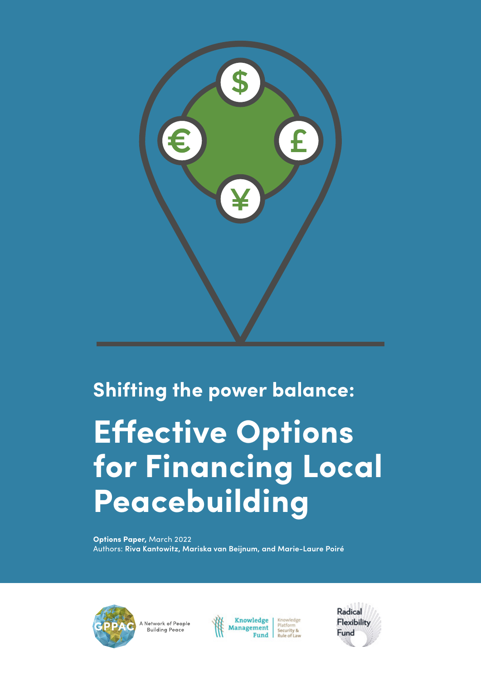

### **Shifting the power balance:**

# **Effective Options for Financing Local Peacebuilding**

**Options Paper,** March 2022 Authors: **Riva Kantowitz, Mariska van Beijnum, and Marie-Laure Poiré**



A Network of People Building Peace



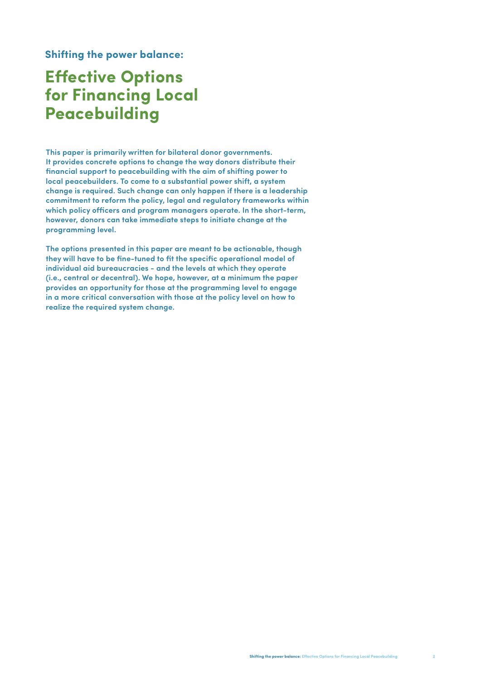**Shifting the power balance:**

### **Effective Options for Financing Local Peacebuilding**

**This paper is primarily written for bilateral donor governments. It provides concrete options to change the way donors distribute their financial support to peacebuilding with the aim of shifting power to local peacebuilders. To come to a substantial power shift, a system change is required. Such change can only happen if there is a leadership commitment to reform the policy, legal and regulatory frameworks within which policy officers and program managers operate. In the short-term, however, donors can take immediate steps to initiate change at the programming level.**

**The options presented in this paper are meant to be actionable, though they will have to be fine-tuned to fit the specific operational model of individual aid bureaucracies - and the levels at which they operate (i.e., central or decentral). We hope, however, at a minimum the paper provides an opportunity for those at the programming level to engage in a more critical conversation with those at the policy level on how to realize the required system change.**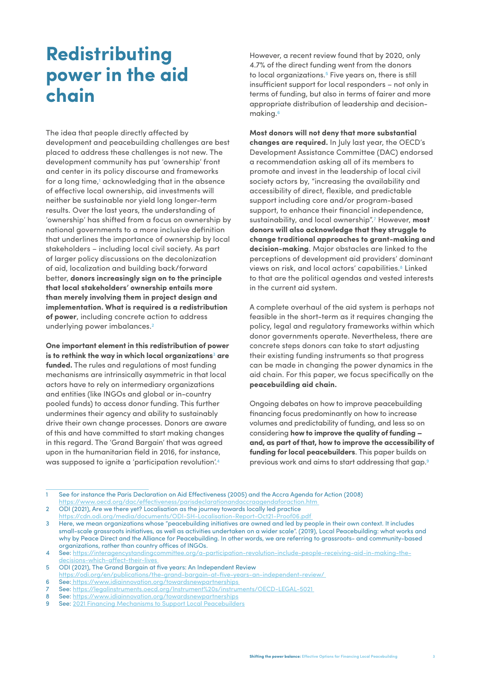### **Redistributing power in the aid chain**

The idea that people directly affected by development and peacebuilding challenges are best placed to address these challenges is not new. The development community has put 'ownership' front and center in its policy discourse and frameworks for a long time,<sup>1</sup> acknowledging that in the absence of effective local ownership, aid investments will neither be sustainable nor yield long longer-term results. Over the last years, the understanding of 'ownership' has shifted from a focus on ownership by national governments to a more inclusive definition that underlines the importance of ownership by local stakeholders – including local civil society. As part of larger policy discussions on the decolonization of aid, localization and building back/forward better, **donors increasingly sign on to the principle that local stakeholders' ownership entails more than merely involving them in project design and implementation. What is required is a redistribution of power**, including concrete action to address underlying power imbalances.**<sup>2</sup>**

**One important element in this redistribution of power is to rethink the way in which local organizations3 are funded.** The rules and regulations of most funding mechanisms are intrinsically asymmetric in that local actors have to rely on intermediary organizations and entities (like INGOs and global or in-country pooled funds) to access donor funding. This further undermines their agency and ability to sustainably drive their own change processes. Donors are aware of this and have committed to start making changes in this regard. The 'Grand Bargain' that was agreed upon in the humanitarian field in 2016, for instance, was supposed to ignite a 'participation revolution'.**<sup>4</sup>**

However, a recent review found that by 2020, only 4.7% of the direct funding went from the donors to local organizations.**5** Five years on, there is still insufficient support for local responders – not only in terms of funding, but also in terms of fairer and more appropriate distribution of leadership and decisionmaking.**<sup>6</sup>**

**Most donors will not deny that more substantial changes are required.** In July last year, the OECD's Development Assistance Committee (DAC) endorsed a recommendation asking all of its members to promote and invest in the leadership of local civil society actors by, "increasing the availability and accessibility of direct, flexible, and predictable support including core and/or program-based support, to enhance their financial independence, sustainability, and local ownership".**7** However, **most donors will also acknowledge that they struggle to change traditional approaches to grant-making and decision-making**. Major obstacles are linked to the perceptions of development aid providers' dominant views on risk, and local actors' capabilities.**8** Linked to that are the political agendas and vested interests in the current aid system.

A complete overhaul of the aid system is perhaps not feasible in the short-term as it requires changing the policy, legal and regulatory frameworks within which donor governments operate. Nevertheless, there are concrete steps donors can take to start adjusting their existing funding instruments so that progress can be made in changing the power dynamics in the aid chain. For this paper, we focus specifically on the **peacebuilding aid chain.**

Ongoing debates on how to improve peacebuilding financing focus predominantly on how to increase volumes and predictability of funding, and less so on considering **how to improve the quality of funding – and, as part of that, how to improve the accessibility of funding for local peacebuilders**. This paper builds on previous work and aims to start addressing that gap.**9**

1 See for instance the Paris Declaration on Aid Effectiveness (2005) and the Accra Agenda for Action (2008) https://www.oecd.org/dac/effectiveness/parisdeclarationandaccraagendaforaction.htm

2 ODI (2021), Are we there yet? Localisation as the journey towards locally led practice https://cdn.odi.org/media/documents/ODI-SH-Localisation-Report-Oct21-Proof06.pdf

<sup>3</sup> Here, we mean organizations whose "peacebuilding initiatives are owned and led by people in their own context. It includes small-scale grassroots initiatives, as well as activities undertaken on a wider scale". (2019), Local Peacebuilding: what works and why by Peace Direct and the Alliance for Peacebuilding. In other words, we are referring to grassroots- and community-based organizations, rather than country offices of INGOs.

<sup>4</sup> See: https://interagencystandingcommittee.org/a-participation-revolution-include-people-receiving-aid-in-making-thedecisions-which-affect-their-lives

<sup>5</sup> ODI (2021), The Grand Bargain at five years: An Independent Review

https://odi.org/en/publications/the-grand-bargain-at-five-years-an-independent-review/ 6 See: https://www.idiainnovation.org/towardsnewpartnerships

<sup>7</sup> See: https://legalinstruments.oecd.org/Instrument%20s/instruments/OECD-LEGAL-5021

<sup>8</sup> See: https://www.idiainnovation.org/towardsnewpartnerships

<sup>9</sup> See: 2021 Financing Mechanisms to Support Local Peacebuilders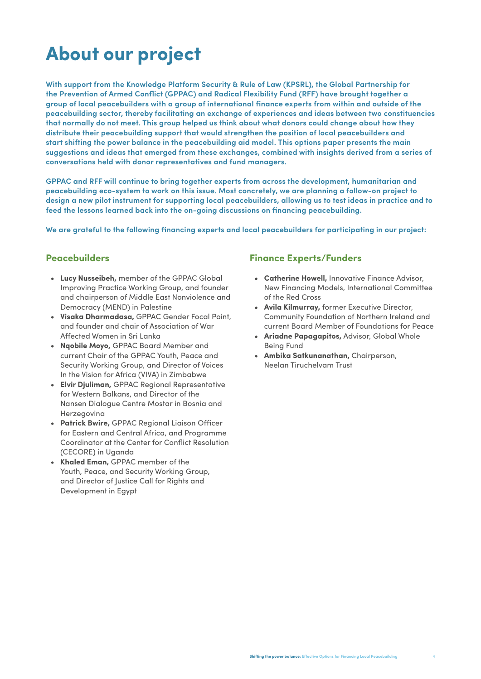# **About our project**

**With support from the Knowledge Platform Security & Rule of Law (KPSRL), the Global Partnership for the Prevention of Armed Conflict (GPPAC) and Radical Flexibility Fund (RFF) have brought together a group of local peacebuilders with a group of international finance experts from within and outside of the peacebuilding sector, thereby facilitating an exchange of experiences and ideas between two constituencies that normally do not meet. This group helped us think about what donors could change about how they distribute their peacebuilding support that would strengthen the position of local peacebuilders and start shifting the power balance in the peacebuilding aid model. This options paper presents the main suggestions and ideas that emerged from these exchanges, combined with insights derived from a series of conversations held with donor representatives and fund managers.**

**GPPAC and RFF will continue to bring together experts from across the development, humanitarian and peacebuilding eco-system to work on this issue. Most concretely, we are planning a follow-on project to design a new pilot instrument for supporting local peacebuilders, allowing us to test ideas in practice and to feed the lessons learned back into the on-going discussions on financing peacebuilding.**

**We are grateful to the following financing experts and local peacebuilders for participating in our project:** 

#### **Peacebuilders**

- **• Lucy Nusseibeh,** member of the GPPAC Global Improving Practice Working Group, and founder and chairperson of Middle East Nonviolence and Democracy (MEND) in Palestine
- **• Visaka Dharmadasa,** GPPAC Gender Focal Point, and founder and chair of Association of War Affected Women in Sri Lanka
- **• Nqobile Moyo,** GPPAC Board Member and current Chair of the GPPAC Youth, Peace and Security Working Group, and Director of Voices In the Vision for Africa (VIVA) in Zimbabwe
- **• Elvir Djuliman,** GPPAC Regional Representative for Western Balkans, and Director of the Nansen Dialogue Centre Mostar in Bosnia and Herzegovina
- **• Patrick Bwire,** GPPAC Regional Liaison Officer for Eastern and Central Africa, and Programme Coordinator at the Center for Conflict Resolution (CECORE) in Uganda
- **• Khaled Eman,** GPPAC member of the Youth, Peace, and Security Working Group, and Director of Justice Call for Rights and Development in Egypt

#### **Finance Experts/Funders**

- **• Catherine Howell,** Innovative Finance Advisor, New Financing Models, International Committee of the Red Cross
- **• Avila Kilmurray,** former Executive Director, Community Foundation of Northern Ireland and current Board Member of Foundations for Peace
- **• Ariadne Papagapitos,** Advisor, Global Whole Being Fund
- **• Ambika Satkunanathan,** Chairperson, Neelan Tiruchelvam Trust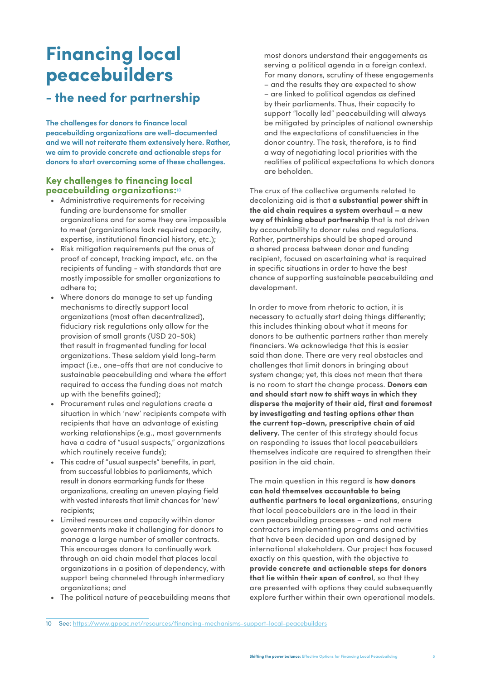### **Financing local peacebuilders**

### **- the need for partnership**

**The challenges for donors to finance local peacebuilding organizations are well-documented and we will not reiterate them extensively here. Rather, we aim to provide concrete and actionable steps for donors to start overcoming some of these challenges.**

#### **Key challenges to financing local peacebuilding organizations:<sup>10</sup>**

- Administrative requirements for receiving funding are burdensome for smaller organizations and for some they are impossible to meet (organizations lack required capacity, expertise, institutional financial history, etc.);
- Risk mitigation requirements put the onus of proof of concept, tracking impact, etc. on the recipients of funding - with standards that are mostly impossible for smaller organizations to adhere to;
- Where donors do manage to set up funding mechanisms to directly support local organizations (most often decentralized), fiduciary risk regulations only allow for the provision of small grants (USD 20-50k) that result in fragmented funding for local organizations. These seldom yield long-term impact (i.e., one-offs that are not conducive to sustainable peacebuilding and where the effort required to access the funding does not match up with the benefits gained);
- Procurement rules and regulations create a situation in which 'new' recipients compete with recipients that have an advantage of existing working relationships (e.g., most governments have a cadre of "usual suspects," organizations which routinely receive funds);
- This cadre of "usual suspects" benefits, in part, from successful lobbies to parliaments, which result in donors earmarking funds for these organizations, creating an uneven playing field with vested interests that limit chances for 'new' recipients;
- Limited resources and capacity within donor governments make it challenging for donors to manage a large number of smaller contracts. This encourages donors to continually work through an aid chain model that places local organizations in a position of dependency, with support being channeled through intermediary organizations; and
- The political nature of peacebuilding means that

most donors understand their engagements as serving a political agenda in a foreign context. For many donors, scrutiny of these engagements – and the results they are expected to show – are linked to political agendas as defined by their parliaments. Thus, their capacity to support "locally led" peacebuilding will always be mitigated by principles of national ownership and the expectations of constituencies in the donor country. The task, therefore, is to find a way of negotiating local priorities with the realities of political expectations to which donors are beholden.

The crux of the collective arguments related to decolonizing aid is that **a substantial power shift in the aid chain requires a system overhaul – a new way of thinking about partnership** that is not driven by accountability to donor rules and regulations. Rather, partnerships should be shaped around a shared process between donor and funding recipient, focused on ascertaining what is required in specific situations in order to have the best chance of supporting sustainable peacebuilding and development.

In order to move from rhetoric to action, it is necessary to actually start doing things differently; this includes thinking about what it means for donors to be authentic partners rather than merely financiers. We acknowledge that this is easier said than done. There are very real obstacles and challenges that limit donors in bringing about system change; yet, this does not mean that there is no room to start the change process. **Donors can and should start now to shift ways in which they disperse the majority of their aid, first and foremost by investigating and testing options other than the current top-down, prescriptive chain of aid delivery.** The center of this strategy should focus on responding to issues that local peacebuilders themselves indicate are required to strengthen their position in the aid chain.

The main question in this regard is **how donors can hold themselves accountable to being authentic partners to local organizations**, ensuring that local peacebuilders are in the lead in their own peacebuilding processes – and not mere contractors implementing programs and activities that have been decided upon and designed by international stakeholders. Our project has focused exactly on this question, with the objective to **provide concrete and actionable steps for donors that lie within their span of control**, so that they are presented with options they could subsequently explore further within their own operational models.

<sup>10</sup> See: https://www.gppac.net/resources/financing-mechanisms-support-local-peacebuilders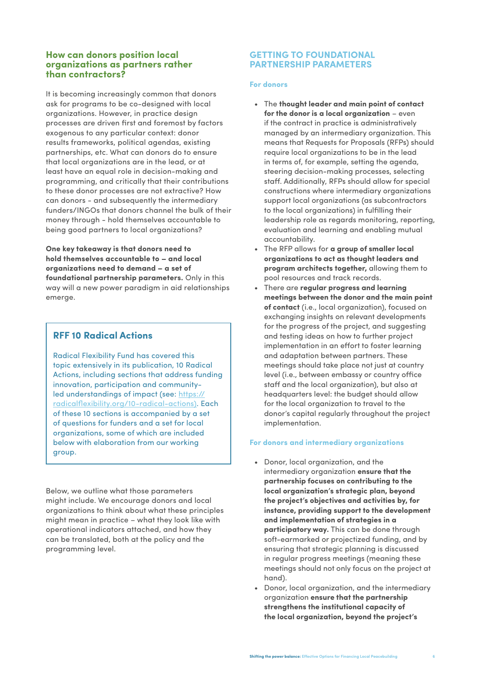#### **How can donors position local organizations as partners rather than contractors?**

It is becoming increasingly common that donors ask for programs to be co-designed with local organizations. However, in practice design processes are driven first and foremost by factors exogenous to any particular context: donor results frameworks, political agendas, existing partnerships, etc. What can donors do to ensure that local organizations are in the lead, or at least have an equal role in decision-making and programming, and critically that their contributions to these donor processes are not extractive? How can donors - and subsequently the intermediary funders/INGOs that donors channel the bulk of their money through - hold themselves accountable to being good partners to local organizations?

**One key takeaway is that donors need to hold themselves accountable to – and local organizations need to demand – a set of foundational partnership parameters.** Only in this way will a new power paradigm in aid relationships emerge.

#### **RFF 10 Radical Actions**

Radical Flexibility Fund has covered this topic extensively in its publication, 10 Radical Actions, including sections that address funding innovation, participation and communityled understandings of impact (see: https:// radicalflexibility.org/10-radical-actions). Each of these 10 sections is accompanied by a set of questions for funders and a set for local organizations, some of which are included below with elaboration from our working group.

Below, we outline what those parameters might include. We encourage donors and local organizations to think about what these principles might mean in practice – what they look like with operational indicators attached, and how they can be translated, both at the policy and the programming level.

#### **GETTING TO FOUNDATIONAL PARTNERSHIP PARAMETERS**

#### **For donors**

- The **thought leader and main point of contact for the donor is a local organization** – even if the contract in practice is administratively managed by an intermediary organization. This means that Requests for Proposals (RFPs) should require local organizations to be in the lead in terms of, for example, setting the agenda, steering decision-making processes, selecting staff. Additionally, RFPs should allow for special constructions where intermediary organizations support local organizations (as subcontractors to the local organizations) in fulfilling their leadership role as regards monitoring, reporting, evaluation and learning and enabling mutual accountability.
- The RFP allows for **a group of smaller local organizations to act as thought leaders and program architects together,** allowing them to pool resources and track records.
- There are **regular progress and learning meetings between the donor and the main point of contact** (i.e., local organization), focused on exchanging insights on relevant developments for the progress of the project, and suggesting and testing ideas on how to further project implementation in an effort to foster learning and adaptation between partners. These meetings should take place not just at country level (i.e., between embassy or country office staff and the local organization), but also at headquarters level: the budget should allow for the local organization to travel to the donor's capital regularly throughout the project implementation.

#### **For donors and intermediary organizations**

- Donor, local organization, and the intermediary organization **ensure that the partnership focuses on contributing to the local organization's strategic plan, beyond the project's objectives and activities by, for instance, providing support to the development and implementation of strategies in a participatory way.** This can be done through soft-earmarked or projectized funding, and by ensuring that strategic planning is discussed in regular progress meetings (meaning these meetings should not only focus on the project at hand).
- Donor, local organization, and the intermediary organization **ensure that the partnership strengthens the institutional capacity of the local organization, beyond the project's**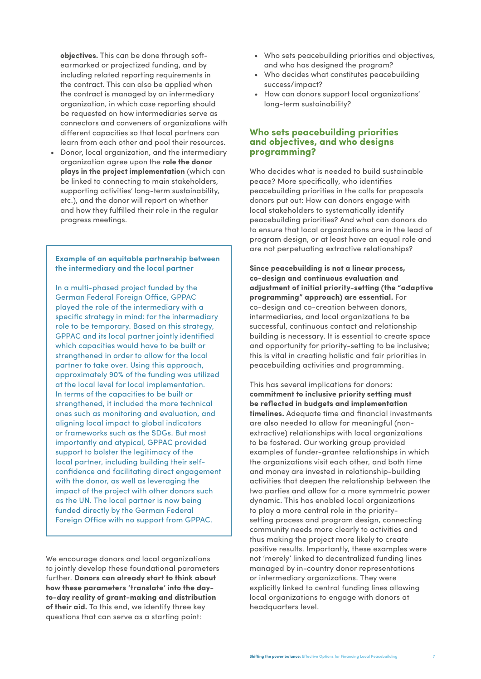**objectives.** This can be done through softearmarked or projectized funding, and by including related reporting requirements in the contract. This can also be applied when the contract is managed by an intermediary organization, in which case reporting should be requested on how intermediaries serve as connectors and conveners of organizations with different capacities so that local partners can learn from each other and pool their resources.

• Donor, local organization, and the intermediary organization agree upon the **role the donor plays in the project implementation** (which can be linked to connecting to main stakeholders, supporting activities' long-term sustainability, etc.), and the donor will report on whether and how they fulfilled their role in the regular progress meetings.

#### **Example of an equitable partnership between the intermediary and the local partner**

In a multi-phased project funded by the German Federal Foreign Office, GPPAC played the role of the intermediary with a specific strategy in mind: for the intermediary role to be temporary. Based on this strategy, GPPAC and its local partner jointly identified which capacities would have to be built or strengthened in order to allow for the local partner to take over. Using this approach, approximately 90% of the funding was utilized at the local level for local implementation. In terms of the capacities to be built or strengthened, it included the more technical ones such as monitoring and evaluation, and aligning local impact to global indicators or frameworks such as the SDGs. But most importantly and atypical, GPPAC provided support to bolster the legitimacy of the local partner, including building their selfconfidence and facilitating direct engagement with the donor, as well as leveraging the impact of the project with other donors such as the UN. The local partner is now being funded directly by the German Federal Foreign Office with no support from GPPAC.

We encourage donors and local organizations to jointly develop these foundational parameters further. **Donors can already start to think about how these parameters 'translate' into the dayto-day reality of grant-making and distribution of their aid.** To this end, we identify three key questions that can serve as a starting point:

- Who sets peacebuilding priorities and objectives, and who has designed the program?
- Who decides what constitutes peacebuilding success/impact?
- How can donors support local organizations' long-term sustainability?

#### **Who sets peacebuilding priorities and objectives, and who designs programming?**

Who decides what is needed to build sustainable peace? More specifically, who identifies peacebuilding priorities in the calls for proposals donors put out: How can donors engage with local stakeholders to systematically identify peacebuilding priorities? And what can donors do to ensure that local organizations are in the lead of program design, or at least have an equal role and are not perpetuating extractive relationships?

**Since peacebuilding is not a linear process, co-design and continuous evaluation and adjustment of initial priority-setting (the "adaptive programming" approach) are essential.** For co-design and co-creation between donors, intermediaries, and local organizations to be successful, continuous contact and relationship building is necessary. It is essential to create space and opportunity for priority-setting to be inclusive; this is vital in creating holistic and fair priorities in peacebuilding activities and programming.

This has several implications for donors: **commitment to inclusive priority setting must be reflected in budgets and implementation timelines.** Adequate time and financial investments are also needed to allow for meaningful (nonextractive) relationships with local organizations to be fostered. Our working group provided examples of funder-grantee relationships in which the organizations visit each other, and both time and money are invested in relationship-building activities that deepen the relationship between the two parties and allow for a more symmetric power dynamic. This has enabled local organizations to play a more central role in the prioritysetting process and program design, connecting community needs more clearly to activities and thus making the project more likely to create positive results. Importantly, these examples were not 'merely' linked to decentralized funding lines managed by in-country donor representations or intermediary organizations. They were explicitly linked to central funding lines allowing local organizations to engage with donors at headquarters level.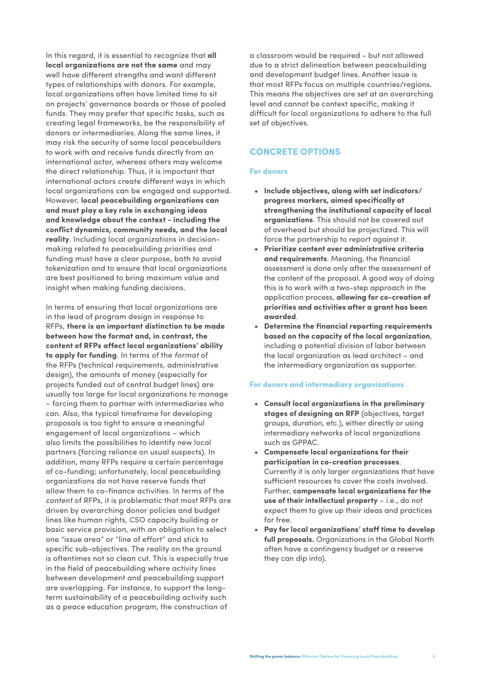In this regard, it is essential to recognize that **all local organizations are not the same** and may well have different strengths and want different types of relationships with donors. For example, local organizations often have limited time to sit on projects' governance boards or those of pooled funds. They may prefer that specific tasks, such as creating legal frameworks, be the responsibility of donors or intermediaries. Along the same lines, it may risk the security of some local peacebuilders to work with and receive funds directly from an international actor, whereas others may welcome the direct relationship. Thus, it is important that international actors create different ways in which local organizations can be engaged and supported. However, **local peacebuilding organizations can and must play a key role in exchanging ideas and knowledge about the context - including the conflict dynamics, community needs, and the local reality**. Including local organizations in decisionmaking related to peacebuilding priorities and funding must have a clear purpose, both to avoid tokenization and to ensure that local organizations are best positioned to bring maximum value and insight when making funding decisions.

In terms of ensuring that local organizations are in the lead of program design in response to RFPs, **there is an important distinction to be made between how the format and, in contrast, the content of RFPs affect local organizations' ability to apply for funding**. In terms of the *format* of the RFPs (technical requirements, administrative design), the amounts of money (especially for projects funded out of central budget lines) are usually too large for local organizations to manage – forcing them to partner with intermediaries who can. Also, the typical timeframe for developing proposals is too tight to ensure a meaningful engagement of local organizations – which also limits the possibilities to identify new local partners (forcing reliance on usual suspects). In addition, many RFPs require a certain percentage of co-funding; unfortunately, local peacebuilding organizations do not have reserve funds that allow them to co-finance activities. In terms of the *content* of RFPs, it is problematic that most RFPs are driven by overarching donor policies and budget lines like human rights, CSO capacity building or basic service provision, with an obligation to select one "issue area" or "line of effort" and stick to specific sub-objectives. The reality on the ground is oftentimes not so clean cut. This is especially true in the field of peacebuilding where activity lines between development and peacebuilding support are overlapping. For instance, to support the longterm sustainability of a peacebuilding activity such as a peace education program, the construction of

a classroom would be required - but not allowed due to a strict delineation between peacebuilding and development budget lines. Another issue is that most RFPs focus on multiple countries/regions. This means the objectives are set at an overarching level and cannot be context specific, making it difficult for local organizations to adhere to the full set of objectives.

#### **CONCRETE OPTIONS**

#### **For donors**

- **• Include objectives, along with set indicators/ progress markers, aimed specifically at strengthening the institutional capacity of local organizations**. This should not be covered out of overhead but should be projectized. This will force the partnership to report against it.
- **• Prioritize content over administrative criteria and requirements**. Meaning, the financial assessment is done only after the assessment of the content of the proposal. A good way of doing this is to work with a two-step approach in the application process, **allowing for co-creation of priorities and activities after a grant has been awarded**.
- **• Determine the financial reporting requirements based on the capacity of the local organization**, including a potential division of labor between the local organization as lead architect – and the intermediary organization as supporter.

#### **For donors and intermediary organizations**

- **• Consult local organizations in the preliminary stages of designing an RFP** (objectives, target groups, duration, etc.), either directly or using intermediary networks of local organizations such as GPPAC.
- **• Compensate local organizations for their participation in co-creation processes**. Currently it is only larger organizations that have sufficient resources to cover the costs involved. Further, **compensate local organizations for the use of their intellectual property** – i.e., do not expect them to give up their ideas and practices for free.
- **• Pay for local organizations' staff time to develop full proposals.** Organizations in the Global North often have a contingency budget or a reserve they can dip into).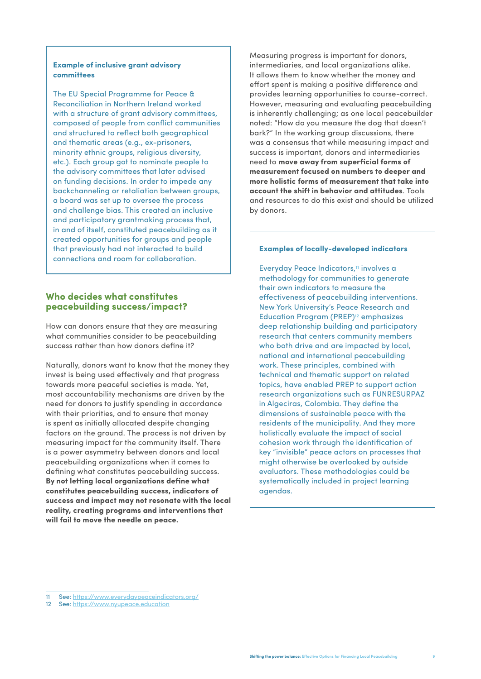#### **Example of inclusive grant advisory committees**

The EU Special Programme for Peace & Reconciliation in Northern Ireland worked with a structure of arant advisory committees. composed of people from conflict communities and structured to reflect both geographical and thematic areas (e.g., ex-prisoners, minority ethnic groups, religious diversity, etc.). Each group got to nominate people to the advisory committees that later advised on funding decisions. In order to impede any backchanneling or retaliation between groups, a board was set up to oversee the process and challenge bias. This created an inclusive and participatory grantmaking process that, in and of itself, constituted peacebuilding as it created opportunities for groups and people that previously had not interacted to build connections and room for collaboration.

#### **Who decides what constitutes peacebuilding success/impact?**

How can donors ensure that they are measuring what communities consider to be peacebuilding success rather than how donors define it?

Naturally, donors want to know that the money they invest is being used effectively and that progress towards more peaceful societies is made. Yet, most accountability mechanisms are driven by the need for donors to justify spending in accordance with their priorities, and to ensure that money is spent as initially allocated despite changing factors on the ground. The process is not driven by measuring impact for the community itself. There is a power asymmetry between donors and local peacebuilding organizations when it comes to defining what constitutes peacebuilding success. **By not letting local organizations define what constitutes peacebuilding success, indicators of success and impact may not resonate with the local reality, creating programs and interventions that will fail to move the needle on peace.**

Measuring progress is important for donors, intermediaries, and local organizations alike. It allows them to know whether the money and effort spent is making a positive difference and provides learning opportunities to course-correct. However, measuring and evaluating peacebuilding is inherently challenging; as one local peacebuilder noted: "How do you measure the dog that doesn't bark?" In the working group discussions, there was a consensus that while measuring impact and success is important, donors and intermediaries need to **move away from superficial forms of measurement focused on numbers to deeper and more holistic forms of measurement that take into account the shift in behavior and attitudes**. Tools and resources to do this exist and should be utilized by donors.

#### **Examples of locally-developed indicators**

Everyday Peace Indicators,**11** involves a methodology for communities to generate their own indicators to measure the effectiveness of peacebuilding interventions. New York University's Peace Research and Education Program (PREP)**12** emphasizes deep relationship building and participatory research that centers community members who both drive and are impacted by local, national and international peacebuilding work. These principles, combined with technical and thematic support on related topics, have enabled PREP to support action research organizations such as FUNRESURPAZ in Algeciras, Colombia. They define the dimensions of sustainable peace with the residents of the municipality. And they more holistically evaluate the impact of social cohesion work through the identification of key "invisible" peace actors on processes that might otherwise be overlooked by outside evaluators. These methodologies could be systematically included in project learning agendas.

<sup>11</sup> See: https://www.everydaypeaceindicators.org/

<sup>12</sup> See: https://www.nyupeace.education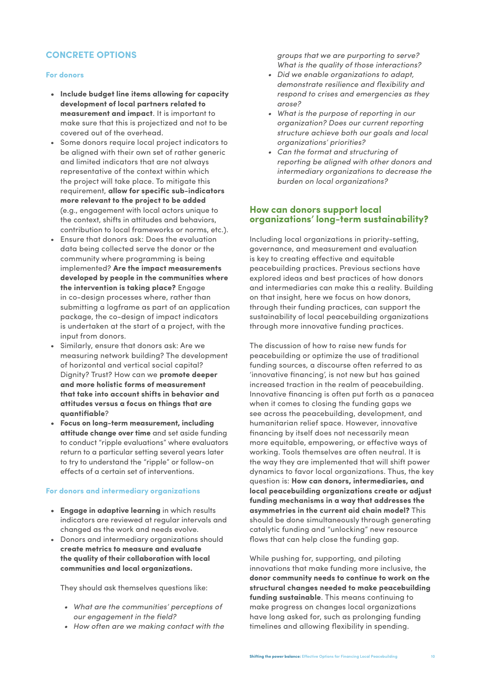#### **CONCRETE OPTIONS**

#### **For donors**

- **• Include budget line items allowing for capacity development of local partners related to measurement and impact**. It is important to make sure that this is projectized and not to be covered out of the overhead.
- Some donors require local project indicators to be aligned with their own set of rather generic and limited indicators that are not always representative of the context within which the project will take place. To mitigate this requirement, **allow for specific sub-indicators more relevant to the project to be added** (e.g., engagement with local actors unique to the context, shifts in attitudes and behaviors, contribution to local frameworks or norms, etc.).
- Ensure that donors ask: Does the evaluation data being collected serve the donor or the community where programming is being implemented? **Are the impact measurements developed by people in the communities where the intervention is taking place?** Engage in co-design processes where, rather than submitting a logframe as part of an application package, the co-design of impact indicators is undertaken at the start of a project, with the input from donors.
- Similarly, ensure that donors ask: Are we measuring network building? The development of horizontal and vertical social capital? Dignity? Trust? How can we **promote deeper and more holistic forms of measurement that take into account shifts in behavior and attitudes versus a focus on things that are quantifiable**?
- **• Focus on long-term measurement, including attitude change over time** and set aside funding to conduct "ripple evaluations" where evaluators return to a particular setting several years later to try to understand the "ripple" or follow-on effects of a certain set of interventions.

#### **For donors and intermediary organizations**

- **• Engage in adaptive learning** in which results indicators are reviewed at regular intervals and changed as the work and needs evolve.
- Donors and intermediary organizations should **create metrics to measure and evaluate the quality of their collaboration with local communities and local organizations.**

They should ask themselves questions like:

- *• What are the communities' perceptions of our engagement in the field?*
- *• How often are we making contact with the*

*groups that we are purporting to serve? What is the quality of those interactions?* 

- *• Did we enable organizations to adapt, demonstrate resilience and flexibility and respond to crises and emergencies as they arose?*
- *• What is the purpose of reporting in our organization? Does our current reporting structure achieve both our goals and local organizations' priorities?*
- *• Can the format and structuring of reporting be aligned with other donors and intermediary organizations to decrease the burden on local organizations?*

#### **How can donors support local organizations' long-term sustainability?**

Including local organizations in priority-setting, governance, and measurement and evaluation is key to creating effective and equitable peacebuilding practices. Previous sections have explored ideas and best practices of how donors and intermediaries can make this a reality. Building on that insight, here we focus on how donors, through their funding practices, can support the sustainability of local peacebuilding organizations through more innovative funding practices.

The discussion of how to raise new funds for peacebuilding or optimize the use of traditional funding sources, a discourse often referred to as 'innovative financing', is not new but has gained increased traction in the realm of peacebuilding. Innovative financing is often put forth as a panacea when it comes to closing the funding gaps we see across the peacebuilding, development, and humanitarian relief space. However, innovative financing by itself does not necessarily mean more equitable, empowering, or effective ways of working. Tools themselves are often neutral. It is the way they are implemented that will shift power dynamics to favor local organizations. Thus, the key question is: **How can donors, intermediaries, and local peacebuilding organizations create or adjust funding mechanisms in a way that addresses the asymmetries in the current aid chain model?** This should be done simultaneously through generating catalytic funding and "unlocking" new resource flows that can help close the funding gap.

While pushing for, supporting, and piloting innovations that make funding more inclusive, the **donor community needs to continue to work on the structural changes needed to make peacebuilding funding sustainable**. This means continuing to make progress on changes local organizations have long asked for, such as prolonging funding timelines and allowing flexibility in spending.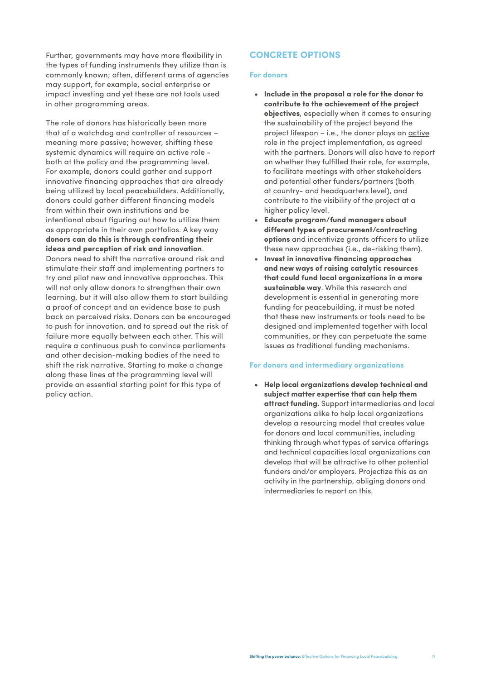Further, governments may have more flexibility in the types of funding instruments they utilize than is commonly known; often, different arms of agencies may support, for example, social enterprise or impact investing and yet these are not tools used in other programming areas.

The role of donors has historically been more that of a watchdog and controller of resources – meaning more passive; however, shifting these systemic dynamics will require an active role both at the policy and the programming level. For example, donors could gather and support innovative financing approaches that are already being utilized by local peacebuilders. Additionally, donors could gather different financing models from within their own institutions and be intentional about figuring out how to utilize them as appropriate in their own portfolios. A key way **donors can do this is through confronting their ideas and perception of risk and innovation**. Donors need to shift the narrative around risk and stimulate their staff and implementing partners to try and pilot new and innovative approaches. This will not only allow donors to strengthen their own learning, but it will also allow them to start building a proof of concept and an evidence base to push back on perceived risks. Donors can be encouraged to push for innovation, and to spread out the risk of failure more equally between each other. This will require a continuous push to convince parliaments and other decision-making bodies of the need to shift the risk narrative. Starting to make a change along these lines at the programming level will provide an essential starting point for this type of policy action.

#### **CONCRETE OPTIONS**

#### **For donors**

- **• Include in the proposal a role for the donor to contribute to the achievement of the project objectives**, especially when it comes to ensuring the sustainability of the project beyond the project lifespan – i.e., the donor plays an active role in the project implementation, as agreed with the partners. Donors will also have to report on whether they fulfilled their role, for example, to facilitate meetings with other stakeholders and potential other funders/partners (both at country- and headquarters level), and contribute to the visibility of the project at a higher policy level.
- **• Educate program/fund managers about different types of procurement/contracting options** and incentivize grants officers to utilize these new approaches (i.e., de-risking them).
- **• Invest in innovative financing approaches and new ways of raising catalytic resources that could fund local organizations in a more sustainable way**. While this research and development is essential in generating more funding for peacebuilding, it must be noted that these new instruments or tools need to be designed and implemented together with local communities, or they can perpetuate the same issues as traditional funding mechanisms.

#### **For donors and intermediary organizations**

**• Help local organizations develop technical and subject matter expertise that can help them attract funding.** Support intermediaries and local organizations alike to help local organizations develop a resourcing model that creates value for donors and local communities, including thinking through what types of service offerings and technical capacities local organizations can develop that will be attractive to other potential funders and/or employers. Projectize this as an activity in the partnership, obliging donors and intermediaries to report on this.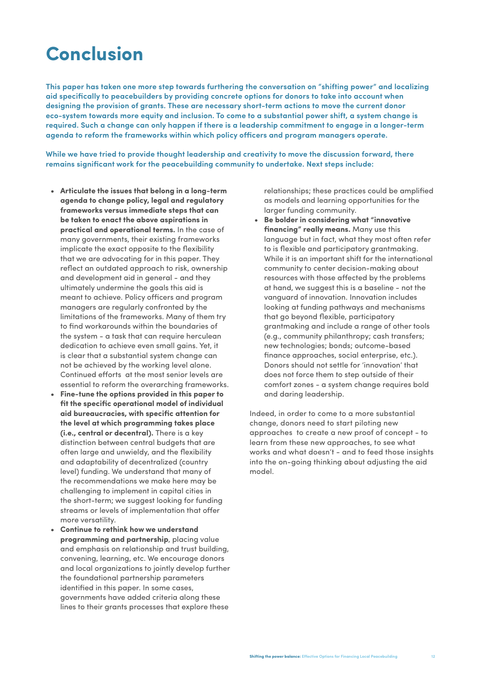### **Conclusion**

**This paper has taken one more step towards furthering the conversation on "shifting power" and localizing aid specifically to peacebuilders by providing concrete options for donors to take into account when designing the provision of grants. These are necessary short-term actions to move the current donor eco-system towards more equity and inclusion. To come to a substantial power shift, a system change is required. Such a change can only happen if there is a leadership commitment to engage in a longer-term agenda to reform the frameworks within which policy officers and program managers operate.** 

**While we have tried to provide thought leadership and creativity to move the discussion forward, there remains significant work for the peacebuilding community to undertake. Next steps include:** 

- **• Articulate the issues that belong in a long-term agenda to change policy, legal and regulatory frameworks versus immediate steps that can be taken to enact the above aspirations in practical and operational terms.** In the case of many governments, their existing frameworks implicate the exact opposite to the flexibility that we are advocating for in this paper. They reflect an outdated approach to risk, ownership and development aid in general - and they ultimately undermine the goals this aid is meant to achieve. Policy officers and program managers are regularly confronted by the limitations of the frameworks. Many of them try to find workarounds within the boundaries of the system - a task that can require herculean dedication to achieve even small gains. Yet, it is clear that a substantial system change can not be achieved by the working level alone. Continued efforts at the most senior levels are essential to reform the overarching frameworks.
- **• Fine-tune the options provided in this paper to fit the specific operational model of individual aid bureaucracies, with specific attention for the level at which programming takes place (i.e., central or decentral).** There is a key distinction between central budgets that are often large and unwieldy, and the flexibility and adaptability of decentralized (country level) funding. We understand that many of the recommendations we make here may be challenging to implement in capital cities in the short-term; we suggest looking for funding streams or levels of implementation that offer more versatility.
- **• Continue to rethink how we understand programming and partnership**, placing value and emphasis on relationship and trust building, convening, learning, etc. We encourage donors and local organizations to jointly develop further the foundational partnership parameters identified in this paper. In some cases, governments have added criteria along these lines to their grants processes that explore these

relationships; these practices could be amplified as models and learning opportunities for the larger funding community.

**• Be bolder in considering what "innovative financing" really means.** Many use this language but in fact, what they most often refer to is flexible and participatory grantmaking. While it is an important shift for the international community to center decision-making about resources with those affected by the problems at hand, we suggest this is a baseline - not the vanguard of innovation. Innovation includes looking at funding pathways and mechanisms that go beyond flexible, participatory grantmaking and include a range of other tools (e.g., community philanthropy; cash transfers; new technologies; bonds; outcome-based finance approaches, social enterprise, etc.). Donors should not settle for 'innovation' that does not force them to step outside of their comfort zones - a system change requires bold and daring leadership.

Indeed, in order to come to a more substantial change, donors need to start piloting new approaches to create a new proof of concept - to learn from these new approaches, to see what works and what doesn't - and to feed those insights into the on-going thinking about adjusting the aid model.